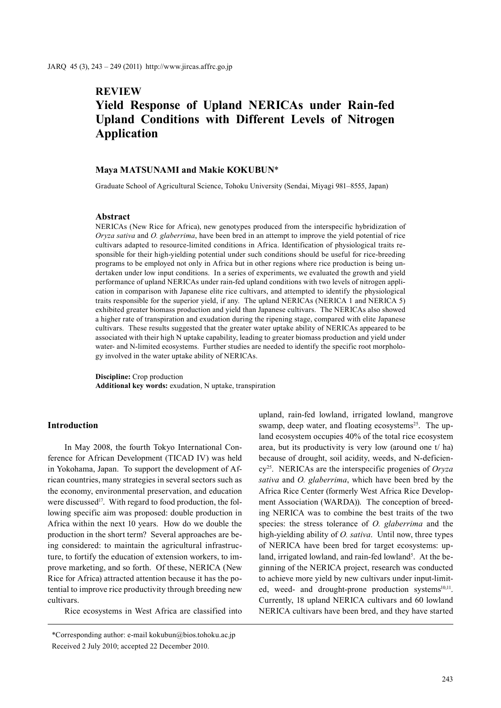# **REVIEW Yield Response of Upland NERICAs under Rain-fed Upland Conditions with Different Levels of Nitrogen Application**

### **Maya MATSUNAMI and Makie KOKUBUN**\*

Graduate School of Agricultural Science, Tohoku University (Sendai, Miyagi 981–8555, Japan)

#### **Abstract**

NERICAs (New Rice for Africa), new genotypes produced from the interspecific hybridization of *Oryza sativa* and *O. glaberrima*, have been bred in an attempt to improve the yield potential of rice cultivars adapted to resource-limited conditions in Africa. Identification of physiological traits responsible for their high-yielding potential under such conditions should be useful for rice-breeding programs to be employed not only in Africa but in other regions where rice production is being undertaken under low input conditions. In a series of experiments, we evaluated the growth and yield performance of upland NERICAs under rain-fed upland conditions with two levels of nitrogen application in comparison with Japanese elite rice cultivars, and attempted to identify the physiological traits responsible for the superior yield, if any. The upland NERICAs (NERICA 1 and NERICA 5) exhibited greater biomass production and yield than Japanese cultivars. The NERICAs also showed a higher rate of transpiration and exudation during the ripening stage, compared with elite Japanese cultivars. These results suggested that the greater water uptake ability of NERICAs appeared to be associated with their high N uptake capability, leading to greater biomass production and yield under water- and N-limited ecosystems. Further studies are needed to identify the specific root morphology involved in the water uptake ability of NERICAs.

**Discipline:** Crop production **Additional key words:** exudation, N uptake, transpiration

## **Introduction**

In May 2008, the fourth Tokyo International Conference for African Development (TICAD IV) was held in Yokohama, Japan. To support the development of African countries, many strategies in several sectors such as the economy, environmental preservation, and education were discussed<sup>17</sup>. With regard to food production, the following specific aim was proposed: double production in Africa within the next 10 years. How do we double the production in the short term? Several approaches are being considered: to maintain the agricultural infrastructure, to fortify the education of extension workers, to improve marketing, and so forth. Of these, NERICA (New Rice for Africa) attracted attention because it has the potential to improve rice productivity through breeding new cultivars.

Rice ecosystems in West Africa are classified into

upland, rain-fed lowland, irrigated lowland, mangrove swamp, deep water, and floating ecosystems<sup>25</sup>. The upland ecosystem occupies 40% of the total rice ecosystem area, but its productivity is very low (around one t/ ha) because of drought, soil acidity, weeds, and N-deficiency25. NERICAs are the interspecific progenies of *Oryza sativa* and *O. glaberrima*, which have been bred by the Africa Rice Center (formerly West Africa Rice Development Association (WARDA)). The conception of breeding NERICA was to combine the best traits of the two species: the stress tolerance of *O. glaberrima* and the high-yielding ability of *O. sativa*. Until now, three types of NERICA have been bred for target ecosystems: upland, irrigated lowland, and rain-fed lowland<sup>5</sup>. At the beginning of the NERICA project, research was conducted to achieve more yield by new cultivars under input-limited, weed- and drought-prone production systems<sup>10,11</sup>. Currently, 18 upland NERICA cultivars and 60 lowland NERICA cultivars have been bred, and they have started

<sup>\*</sup>Corresponding author: e-mail kokubun@bios.tohoku.ac.jp Received 2 July 2010; accepted 22 December 2010.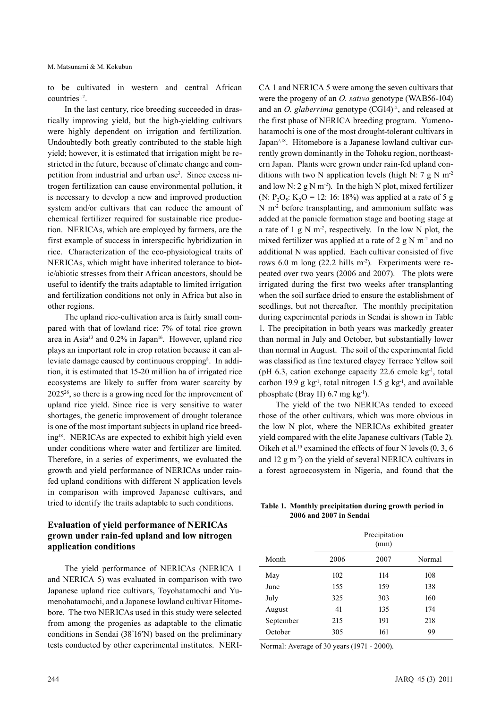to be cultivated in western and central African countries<sup>1,2</sup>.

In the last century, rice breeding succeeded in drastically improving yield, but the high-yielding cultivars were highly dependent on irrigation and fertilization. Undoubtedly both greatly contributed to the stable high yield; however, it is estimated that irrigation might be restricted in the future, because of climate change and competition from industrial and urban use<sup>3</sup>. Since excess nitrogen fertilization can cause environmental pollution, it is necessary to develop a new and improved production system and/or cultivars that can reduce the amount of chemical fertilizer required for sustainable rice production. NERICAs, which are employed by farmers, are the first example of success in interspecific hybridization in rice. Characterization of the eco-physiological traits of NERICAs, which might have inherited tolerance to biotic/abiotic stresses from their African ancestors, should be useful to identify the traits adaptable to limited irrigation and fertilization conditions not only in Africa but also in other regions.

The upland rice-cultivation area is fairly small compared with that of lowland rice: 7% of total rice grown area in Asia<sup>13</sup> and  $0.2\%$  in Japan<sup>16</sup>. However, upland rice plays an important role in crop rotation because it can alleviate damage caused by continuous cropping<sup>8</sup>. In addition, it is estimated that 15-20 million ha of irrigated rice ecosystems are likely to suffer from water scarcity by 202526, so there is a growing need for the improvement of upland rice yield. Since rice is very sensitive to water shortages, the genetic improvement of drought tolerance is one of the most important subjects in upland rice breeding18. NERICAs are expected to exhibit high yield even under conditions where water and fertilizer are limited. Therefore, in a series of experiments, we evaluated the growth and yield performance of NERICAs under rainfed upland conditions with different N application levels in comparison with improved Japanese cultivars, and tried to identify the traits adaptable to such conditions.

# **Evaluation of yield performance of NERICAs grown under rain-fed upland and low nitrogen application conditions**

The yield performance of NERICAs (NERICA 1 and NERICA 5) was evaluated in comparison with two Japanese upland rice cultivars, Toyohatamochi and Yumenohatamochi, and a Japanese lowland cultivar Hitomebore. The two NERICAs used in this study were selected from among the progenies as adaptable to the climatic conditions in Sendai (38° 16′N) based on the preliminary tests conducted by other experimental institutes. NERI-

CA 1 and NERICA 5 were among the seven cultivars that were the progeny of an *O. sativa* genotype (WAB56-104) and an *O. glaberrima* genotype (CG14)<sup>12</sup>, and released at the first phase of NERICA breeding program. Yumenohatamochi is one of the most drought-tolerant cultivars in Japan7,18. Hitomebore is a Japanese lowland cultivar currently grown dominantly in the Tohoku region, northeastern Japan. Plants were grown under rain-fed upland conditions with two N application levels (high N: 7 g N m<sup>-2</sup> and low N:  $2 \text{ g N m}^2$ ). In the high N plot, mixed fertilizer (N:  $P_2O_5$ : K<sub>2</sub>O = 12: 16: 18%) was applied at a rate of 5 g N m-2 before transplanting, and ammonium sulfate was added at the panicle formation stage and booting stage at a rate of 1 g N  $m<sup>2</sup>$ , respectively. In the low N plot, the mixed fertilizer was applied at a rate of 2 g N  $m<sup>2</sup>$  and no additional N was applied. Each cultivar consisted of five rows 6.0 m long (22.2 hills m-2). Experiments were repeated over two years (2006 and 2007). The plots were irrigated during the first two weeks after transplanting when the soil surface dried to ensure the establishment of seedlings, but not thereafter. The monthly precipitation during experimental periods in Sendai is shown in Table 1. The precipitation in both years was markedly greater than normal in July and October, but substantially lower than normal in August. The soil of the experimental field was classified as fine textured clayey Terrace Yellow soil (pH 6.3, cation exchange capacity 22.6 cmolc kg<sup>-1</sup>, total carbon 19.9 g kg<sup>-1</sup>, total nitrogen 1.5 g kg<sup>-1</sup>, and available phosphate (Bray II)  $6.7$  mg kg<sup>-1</sup>).

The yield of the two NERICAs tended to exceed those of the other cultivars, which was more obvious in the low N plot, where the NERICAs exhibited greater yield compared with the elite Japanese cultivars (Table 2). Oikeh et al.<sup>19</sup> examined the effects of four N levels  $(0, 3, 6)$ and  $12 \text{ g m}^2$ ) on the yield of several NERICA cultivars in a forest agroecosystem in Nigeria, and found that the

**Table 1. Monthly precipitation during growth period in 2006 and 2007 in Sendai**

|           | Precipitation<br>(mm) |      |        |
|-----------|-----------------------|------|--------|
| Month     | 2006                  | 2007 | Normal |
| May       | 102                   | 114  | 108    |
| June      | 155                   | 159  | 138    |
| July      | 325                   | 303  | 160    |
| August    | 41                    | 135  | 174    |
| September | 215                   | 191  | 218    |
| October   | 305                   | 161  | 99     |

Normal: Average of 30 years (1971 - 2000).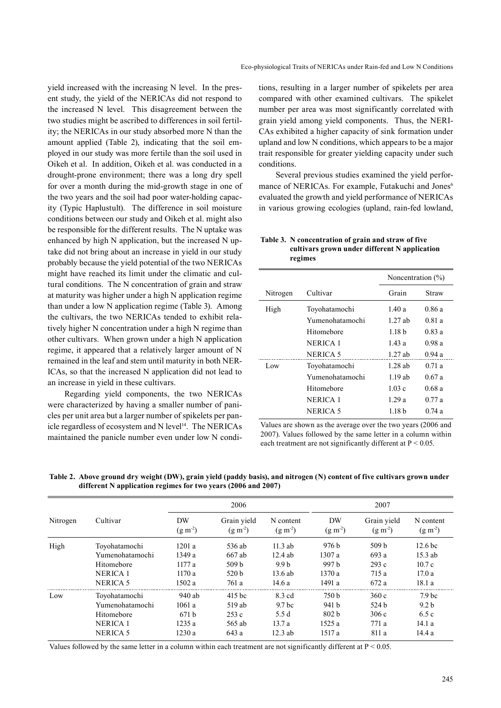yield increased with the increasing N level. In the present study, the yield of the NERICAs did not respond to the increased N level. This disagreement between the two studies might be ascribed to differences in soil fertility; the NERICAs in our study absorbed more N than the amount applied (Table 2), indicating that the soil employed in our study was more fertile than the soil used in Oikeh et al. In addition, Oikeh et al. was conducted in a drought-prone environment; there was a long dry spell for over a month during the mid-growth stage in one of the two years and the soil had poor water-holding capacity (Typic Haplustult). The difference in soil moisture conditions between our study and Oikeh et al. might also be responsible for the different results. The N uptake was enhanced by high N application, but the increased N uptake did not bring about an increase in yield in our study probably because the yield potential of the two NERICAs might have reached its limit under the climatic and cultural conditions. The N concentration of grain and straw at maturity was higher under a high N application regime than under a low N application regime (Table 3). Among the cultivars, the two NERICAs tended to exhibit relatively higher N concentration under a high N regime than other cultivars. When grown under a high N application regime, it appeared that a relatively larger amount of N remained in the leaf and stem until maturity in both NER-ICAs, so that the increased N application did not lead to an increase in yield in these cultivars.

Regarding yield components, the two NERICAs were characterized by having a smaller number of panicles per unit area but a larger number of spikelets per panicle regardless of ecosystem and N level<sup>14</sup>. The NERICAs maintained the panicle number even under low N conditions, resulting in a larger number of spikelets per area compared with other examined cultivars. The spikelet number per area was most significantly correlated with grain yield among yield components. Thus, the NERI-CAs exhibited a higher capacity of sink formation under upland and low N conditions, which appears to be a major trait responsible for greater yielding capacity under such conditions.

Several previous studies examined the yield performance of NERICAs. For example, Futakuchi and Jones<sup>6</sup> evaluated the growth and yield performance of NERICAs in various growing ecologies (upland, rain-fed lowland,

## **Table 3. N concentration of grain and straw of five cultivars grown under different N application regimes**

|          |                 | Noncentration $(\% )$ |        |
|----------|-----------------|-----------------------|--------|
| Nitrogen | Cultivar        | Grain                 | Straw  |
| High     | Toyohatamochi   | 1.40a                 | 0.86 a |
|          | Yumenohatamochi | $1.27$ ab             | 0.81a  |
|          | Hitomebore      | 1.18 <sub>b</sub>     | 0.83 a |
|          | NERICA 1        | 1.43a                 | 0.98a  |
|          | NERICA 5        | $1.27$ ab             | 0.94a  |
| Low      | Toyohatamochi   | $1.28$ ab             | 0.71a  |
|          | Yumenohatamochi | $1.19$ ab             | 0.67a  |
|          | Hitomebore      | 1.03c                 | 0.68a  |
|          | NERICA 1        | 1.29a                 | 0.77a  |
|          | NERICA 5        | 1.18 b                | 0 74 a |
|          |                 |                       |        |

Values are shown as the average over the two years (2006 and 2007). Values followed by the same letter in a column within each treatment are not significantly different at  $P < 0.05$ .

| Nitrogen | Cultivar        | 2006            |                             |                        | 2007             |                             |                           |
|----------|-----------------|-----------------|-----------------------------|------------------------|------------------|-----------------------------|---------------------------|
|          |                 | DW<br>$(g m-2)$ | Grain yield<br>$(g m^{-2})$ | N content<br>$(g m-2)$ | DW<br>$(g m-2)$  | Grain yield<br>$(g m^{-2})$ | N content<br>$(g m^{-2})$ |
| High     | Toyohatamochi   | 1201a           | 536 ab                      | $11.3$ ab              | 976h             | 509 <sub>b</sub>            | 12.6 <sub>bc</sub>        |
|          | Yumenohatamochi | 1349a           | 667 ab                      | $12.4$ ab              | 1307a            | 693 a                       | $15.3$ ab                 |
|          | Hitomebore      | 1177a           | 509 <sub>b</sub>            | 9.9 <sub>b</sub>       | 997 h            | 293c                        | 10.7c                     |
|          | <b>NERICA 1</b> | 1170a           | 520 <sub>b</sub>            | 13.6ab                 | 1370 a           | 715 a                       | 17.0a                     |
|          | NERICA 5        | 1502a           | 761 a                       | 14.6a                  | 1491a            | 672 a                       | 18.1a                     |
| Low      | Toyohatamochi   | 940 ab          | $415$ bc                    | 8.3 cd                 | 750 b            | 360c                        | 7.9 <sub>bc</sub>         |
|          | Yumenohatamochi | 1061a           | 519 ab                      | 9.7 <sub>bc</sub>      | 941 b            | 524 <sub>b</sub>            | 9.2 <sub>b</sub>          |
|          | Hitomebore      | 671h            | 253c                        | 5.5d                   | 802 <sub>b</sub> | 306c                        | 6.5c                      |
|          | <b>NERICA 1</b> | 1235a           | 565 ab                      | 13.7a                  | 1525a            | 771 a                       | 14.1a                     |
|          | NERICA 5        | 1230a           | 643 a                       | $12.3$ ab              | 1517 a           | 811 a                       | 14.4 a                    |

**Table 2. Above ground dry weight (DW), grain yield (paddy basis), and nitrogen (N) content of five cultivars grown under different N application regimes for two years (2006 and 2007)**

Values followed by the same letter in a column within each treatment are not significantly different at  $P < 0.05$ .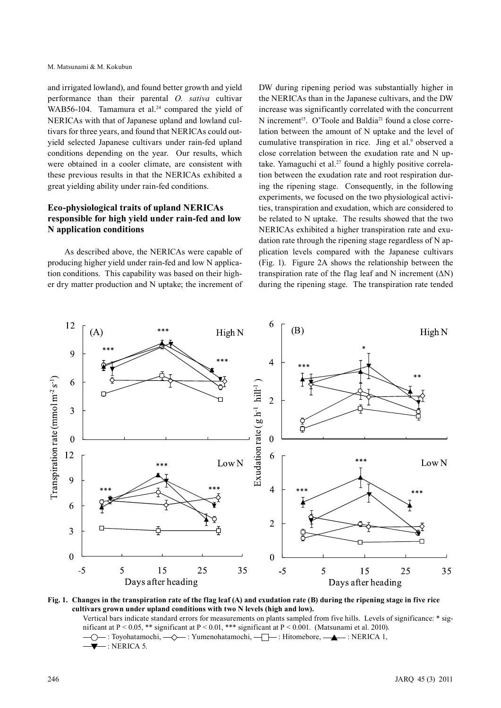and irrigated lowland), and found better growth and yield performance than their parental *O. sativa* cultivar WAB56-104. Tamamura et al.<sup>24</sup> compared the yield of NERICAs with that of Japanese upland and lowland cultivars for three years, and found that NERICAs could outyield selected Japanese cultivars under rain-fed upland conditions depending on the year. Our results, which were obtained in a cooler climate, are consistent with these previous results in that the NERICAs exhibited a great yielding ability under rain-fed conditions.

# **Eco-physiological traits of upland NERICAs responsible for high yield under rain-fed and low N application conditions**

As described above, the NERICAs were capable of producing higher yield under rain-fed and low N application conditions. This capability was based on their higher dry matter production and N uptake; the increment of

DW during ripening period was substantially higher in the NERICAs than in the Japanese cultivars, and the DW increase was significantly correlated with the concurrent N increment<sup>15</sup>. O'Toole and Baldia<sup>21</sup> found a close correlation between the amount of N uptake and the level of cumulative transpiration in rice. Jing et al.<sup>9</sup> observed a close correlation between the exudation rate and N uptake. Yamaguchi et al.<sup>27</sup> found a highly positive correlation between the exudation rate and root respiration during the ripening stage. Consequently, in the following experiments, we focused on the two physiological activities, transpiration and exudation, which are considered to be related to N uptake. The results showed that the two NERICAs exhibited a higher transpiration rate and exudation rate through the ripening stage regardless of N application levels compared with the Japanese cultivars (Fig. 1). Figure 2A shows the relationship between the transpiration rate of the flag leaf and N increment  $(ΔN)$ during the ripening stage. The transpiration rate tended



**Fig. 1. Changes in the transpiration rate of the flag leaf (A) and exudation rate (B) during the ripening stage in five rice cultivars grown under upland conditions with two N levels (high and low).** 

Vertical bars indicate standard errors for measurements on plants sampled from five hills. Levels of significance: \* significant at P < 0.05, \*\* significant at P < 0.01, \*\*\* significant at P < 0.001. (Matsunami et al. 2010). -○ : Toyohatamochi, -· Yumenohatamochi, -· Hitomebore, -· A : NERICA 1, : NERICA 5.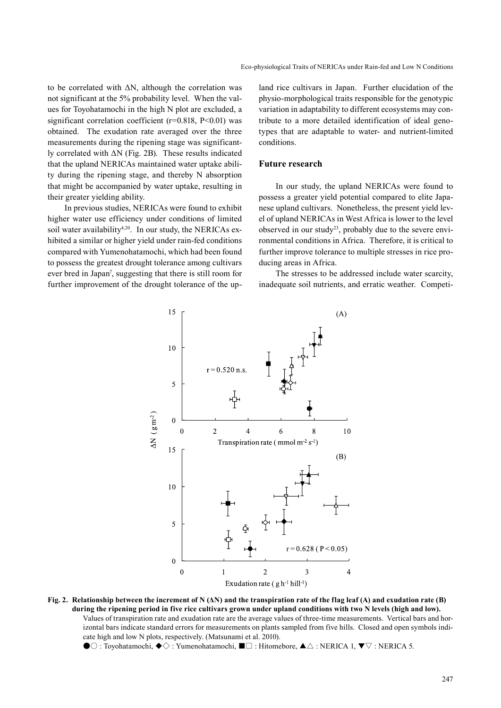to be correlated with  $\Delta N$ , although the correlation was not significant at the 5% probability level. When the values for Toyohatamochi in the high N plot are excluded, a significant correlation coefficient  $(r=0.818, P<0.01)$  was obtained. The exudation rate averaged over the three measurements during the ripening stage was significantly correlated with ΔN (Fig. 2B). These results indicated that the upland NERICAs maintained water uptake ability during the ripening stage, and thereby N absorption that might be accompanied by water uptake, resulting in their greater yielding ability.

In previous studies, NERICAs were found to exhibit higher water use efficiency under conditions of limited soil water availability<sup>4,20</sup>. In our study, the NERICAs exhibited a similar or higher yield under rain-fed conditions compared with Yumenohatamochi, which had been found to possess the greatest drought tolerance among cultivars ever bred in Japan<sup>7</sup>, suggesting that there is still room for further improvement of the drought tolerance of the upland rice cultivars in Japan. Further elucidation of the physio-morphological traits responsible for the genotypic variation in adaptability to different ecosystems may contribute to a more detailed identification of ideal genotypes that are adaptable to water- and nutrient-limited conditions.

#### **Future research**

In our study, the upland NERICAs were found to possess a greater yield potential compared to elite Japanese upland cultivars. Nonetheless, the present yield level of upland NERICAs in West Africa is lower to the level observed in our study<sup>23</sup>, probably due to the severe environmental conditions in Africa. Therefore, it is critical to further improve tolerance to multiple stresses in rice producing areas in Africa.

The stresses to be addressed include water scarcity, inadequate soil nutrients, and erratic weather. Competi-



**Fig. 2. Relationship between the increment of N (ΔN) and the transpiration rate of the flag leaf (A) and exudation rate (B) during the ripening period in five rice cultivars grown under upland conditions with two N levels (high and low).**  Values of transpiration rate and exudation rate are the average values of three-time measurements. Vertical bars and horizontal bars indicate standard errors for measurements on plants sampled from five hills. Closed and open symbols indicate high and low N plots, respectively. (Matsunami et al. 2010).

●○ : Toyohatamochi, ◆◇ : Yumenohatamochi, ■□ : Hitomebore, ▲△ : NERICA 1, ▼▽ : NERICA 5.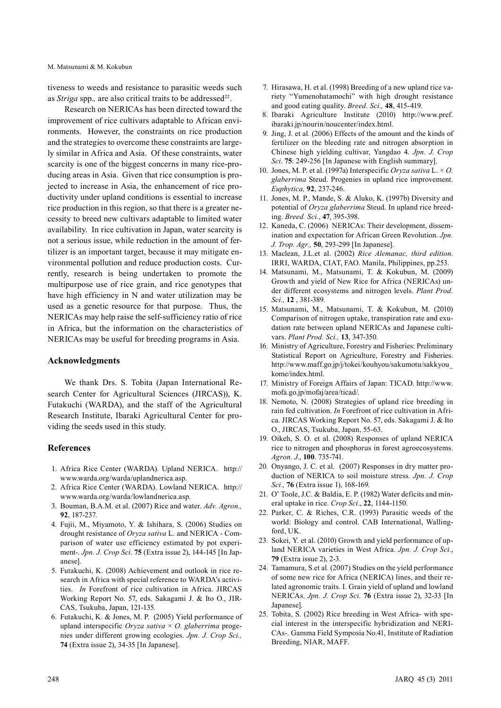M. Matsunami & M. Kokubun

tiveness to weeds and resistance to parasitic weeds such as *Striga* spp., are also critical traits to be addressed<sup>22</sup>.

Research on NERICAs has been directed toward the improvement of rice cultivars adaptable to African environments. However, the constraints on rice production and the strategies to overcome these constraints are largely similar in Africa and Asia. Of these constraints, water scarcity is one of the biggest concerns in many rice-producing areas in Asia. Given that rice consumption is projected to increase in Asia, the enhancement of rice productivity under upland conditions is essential to increase rice production in this region, so that there is a greater necessity to breed new cultivars adaptable to limited water availability. In rice cultivation in Japan, water scarcity is not a serious issue, while reduction in the amount of fertilizer is an important target, because it may mitigate environmental pollution and reduce production costs. Currently, research is being undertaken to promote the multipurpose use of rice grain, and rice genotypes that have high efficiency in N and water utilization may be used as a genetic resource for that purpose. Thus, the NERICAs may help raise the self-sufficiency ratio of rice in Africa, but the information on the characteristics of NERICAs may be useful for breeding programs in Asia.

#### **Acknowledgments**

We thank Drs. S. Tobita (Japan International Research Center for Agricultural Sciences (JIRCAS)), K. Futakuchi (WARDA), and the staff of the Agricultural Research Institute, Ibaraki Agricultural Center for providing the seeds used in this study.

## **References**

- 1. Africa Rice Center (WARDA). Upland NERICA. http:// www.warda.org/warda/uplandnerica.asp.
- 2. Africa Rice Center (WARDA). Lowland NERICA. http:// www.warda.org/warda/lowlandnerica.asp.
- 3. Bouman, B.A.M. et al. (2007) Rice and water. *Adv. Agron.,* **92**, 187-237.
- 4. Fujii, M., Miyamoto, Y. & Ishihara, S. (2006) Studies on drought resistance of *Oryza sativa* L. and NERICA - Comparison of water use efficiency estimated by pot experiment-. *Jpn. J. Crop Sci*. **75** (Extra issue 2), 144-145 [In Japanese].
- 5. Futakuchi, K. (2008) Achievement and outlook in rice research in Africa with special reference to WARDA's activities. *In* Forefront of rice cultivation in Africa. JIRCAS Working Report No. 57, eds. Sakagami J. & Ito O., JIR-CAS, Tsukuba, Japan, 121-135.
- 6. Futakuchi, K. & Jones, M. P. (2005) Yield performance of upland interspecific *Oryza sativa* × *O. glaberrima* progenies under different growing ecologies. *Jpn. J. Crop Sci.,* **74** (Extra issue 2), 34-35 [In Japanese].
- 7. Hirasawa, H. et al. (1998) Breeding of a new upland rice variety "Yumenohatamochi" with high drought resistance and good eating quality. *Breed. Sci.,* **48**, 415-419.
- 8. Ibaraki Agriculture Institute (2010) http://www.pref. ibaraki.jp/nourin/noucenter/index.html.
- 9. Jing, J. et al. (2006) Effects of the amount and the kinds of fertilizer on the bleeding rate and nitrogen absorption in Chinese high yielding cultivar, Yangdao 4. *Jpn. J*. *Crop Sci*. **75**: 249-256 [In Japanese with English summary].
- 10. Jones, M. P. et al. (1997a) Interspecific *Oryza sativa* L. × *O. glaberrima* Steud. Progenies in upland rice improvement. *Euphytica,* **92**, 237-246.
- 11. Jones, M. P., Mande, S. & Aluko, K. (1997b) Diversity and potential of *Oryza glaberrima* Steud. In upland rice breeding. *Breed. Sci.*, **47**, 395-398.
- 12. Kaneda, C. (2006) NERICAs: Their development, dissemination and expectation for African Green Revolution. *Jpn. J. Trop. Agr.,* **50**, 293-299 [In Japanese].
- 13. Maclean, J.L.et al. (2002) *Rice Alemanac, third edition*. IRRI, WARDA, CIAT, FAO. Manila, Philippines, pp.253.
- 14. Matsunami, M., Matsunami, T. & Kokubun, M. (2009) Growth and yield of New Rice for Africa (NERICAs) under different ecosystems and nitrogen levels. *Plant Prod. Sci.,* **12** , 381-389.
- 15. Matsunami, M., Matsunami, T. & Kokubun, M. (2010) Comparison of nitrogen uptake, transpiration rate and exudation rate between upland NERICAs and Japanese cultivars. *Plant Prod. Sci.,* **13**, 347-350.
- 16. Ministry of Agriculture, Forestry and Fisheries: Preliminary Statistical Report on Agriculture, Forestry and Fisheries. http://www.maff.go.jp/j/tokei/kouhyou/sakumotu/sakkyou\_ kome/index.html.
- 17. Ministry of Foreign Affairs of Japan: TICAD. http://www. mofa.go.jp/mofaj/area/ticad/.
- 18. Nemoto, N. (2008) Strategies of upland rice breeding in rain fed cultivation. *In* Forefront of rice cultivation in Africa. JIRCAS Working Report No. 57, eds. Sakagami J. & Ito O., JIRCAS, Tsukuba, Japan, 55-63.
- 19. Oikeh, S. O. et al. (2008) Responses of upland NERICA rice to nitrogen and phosphorus in forest agroecosystems. *Agron. J*., **100**. 735-741.
- 20. Onyango, J. C. et al. (2007) Responses in dry matter production of NERICA to soil moisture stress*. Jpn. J. Crop Sci.,* **76** (Extra issue 1), 168-169.
- 21. O' Toole, J.C. & Baldia, E. P. (1982) Water deficits and mineral uptake in rice. *Crop Sci*., **22**, 1144-1150.
- 22. Parker, C. & Riches, C.R. (1993) Parasitic weeds of the world: Biology and control. CAB International, Wallingford, UK.
- 23. Sokei, Y. et al. (2010) Growth and yield performance of upland NERICA varieties in West Africa. *Jpn. J. Crop Sci.*, **79** (Extra issue 2), 2-3.
- 24. Tamamura, S.et al. (2007) Studies on the yield performance of some new rice for Africa (NERICA) lines, and their related agronomic traits. I. Grain yield of upland and lowland NERICAs. *Jpn. J. Crop Sci.* **76** (Extra issue 2), 32-33 [In Japanese].
- 25. Tobita, S. (2002) Rice breeding in West Africa- with special interest in the interspecific hybridization and NERI-CAs-. Gamma Field Symposia No.41, Institute of Radiation Breeding, NIAR, MAFF.